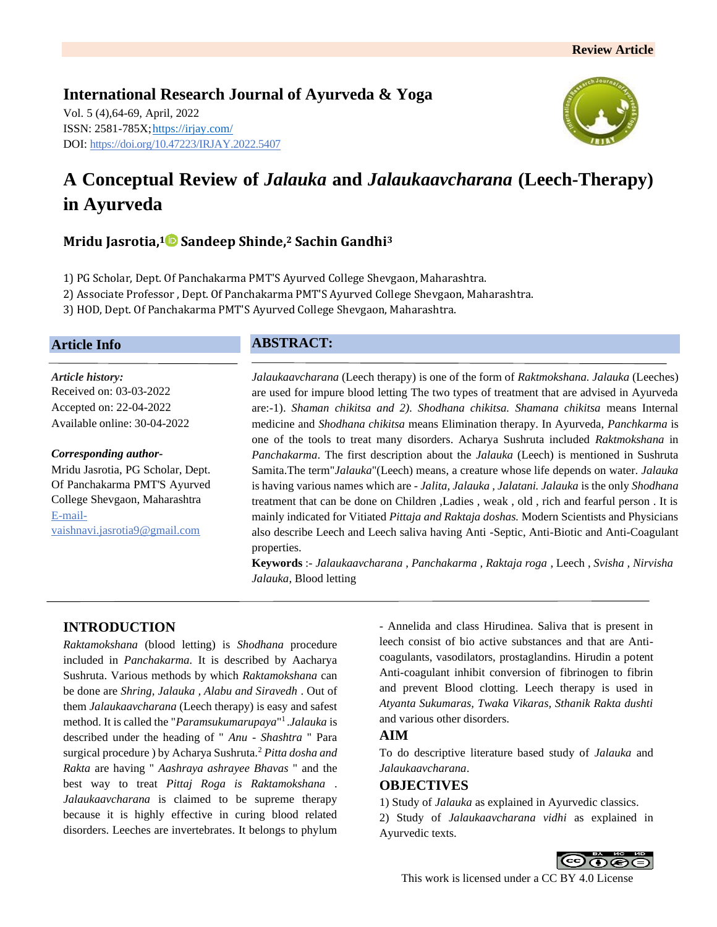# **International Research Journal of Ayurveda & Yoga** Vol. 5 (4),64-69, April, 2022 ISSN: 2581-785X[; https://irjay.com/](https://irjay.com/) DOI: https://doi.org/10.47223/IRJAY.2022.5407



# **A Conceptual Review of** *Jalauka* **and** *Jalaukaavcharana* **(Leech-Therapy) in Ayurveda**

# **Mridu Jasrotia, <sup>1</sup> Sandeep Shinde, <sup>2</sup> Sachin Gandhi<sup>3</sup>**

1) PG Scholar, Dept. Of Panchakarma PMT'S Ayurved College Shevgaon, Maharashtra.

2) Associate Professor , Dept. Of Panchakarma PMT'S Ayurved College Shevgaon, Maharashtra.

3) HOD, Dept. Of Panchakarma PMT'S Ayurved College Shevgaon, Maharashtra.

## **Article Info**

*Article history:* Received on: 03-03-2022 Accepted on: 22-04-2022 Available online: 30-04-2022

#### *Corresponding author-*

Mridu Jasrotia, PG Scholar, Dept. Of Panchakarma PMT'S Ayurved College Shevgaon, Maharashtra E-mailvaishnavi.jasrotia9@gmail.com

# **ABSTRACT:**

*Jalaukaavcharana* (Leech therapy) is one of the form of *Raktmokshana. Jalauka* (Leeches) are used for impure blood letting The two types of treatment that are advised in Ayurveda are:-1). *Shaman chikitsa and 2). Shodhana chikitsa. Shamana chikitsa* means Internal medicine and *Shodhana chikitsa* means Elimination therapy. In Ayurveda, *Panchkarma* is one of the tools to treat many disorders. Acharya Sushruta included *Raktmokshana* in *Panchakarma*. The first description about the *Jalauka* (Leech) is mentioned in Sushruta Samita.The term"*Jalauka*"(Leech) means, a creature whose life depends on water. *Jalauka* is having various names which are - *Jalita, Jalauka , Jalatani. Jalauka* is the only *Shodhana* treatment that can be done on Children ,Ladies , weak , old , rich and fearful person . It is mainly indicated for Vitiated *Pittaja and Raktaja doshas.* Modern Scientists and Physicians also describe Leech and Leech saliva having Anti -Septic, Anti-Biotic and Anti-Coagulant properties.

**Keywords** :- *Jalaukaavcharana , Panchakarma , Raktaja roga* , Leech , *Svisha , Nirvisha Jalauka*, Blood letting

# **INTRODUCTION**

*Raktamokshana* (blood letting) is *Shodhana* procedure included in *Panchakarma.* It is described by Aacharya Sushruta. Various methods by which *Raktamokshana* can be done are *Shring, Jalauka , Alabu and Siravedh* . Out of them *Jalaukaavcharana* (Leech therapy) is easy and safest method. It is called the "*Paramsukumarupaya*" 1 .*Jalauka* is described under the heading of " *Anu - Shashtra* " Para surgical procedure ) by Acharya Sushruta.<sup>2</sup> *Pitta dosha and Rakta* are having " *Aashraya ashrayee Bhavas* " and the best way to treat *Pittaj Roga is Raktamokshana* . *Jalaukaavcharana* is claimed to be supreme therapy because it is highly effective in curing blood related disorders. Leeches are invertebrates. It belongs to phylum

- Annelida and class Hirudinea. Saliva that is present in leech consist of bio active substances and that are Anticoagulants, vasodilators, prostaglandins. Hirudin a potent Anti-coagulant inhibit conversion of fibrinogen to fibrin and prevent Blood clotting. Leech therapy is used in *Atyanta Sukumaras, Twaka Vikaras, Sthanik Rakta dushti* and various other disorders.

# **AIM**

To do descriptive literature based study of *Jalauka* and *Jalaukaavcharana*.

# **OBJECTIVES**

1) Study of *Jalauka* as explained in Ayurvedic classics.

2) Study of *Jalaukaavcharana vidhi* as explained in Ayurvedic texts.

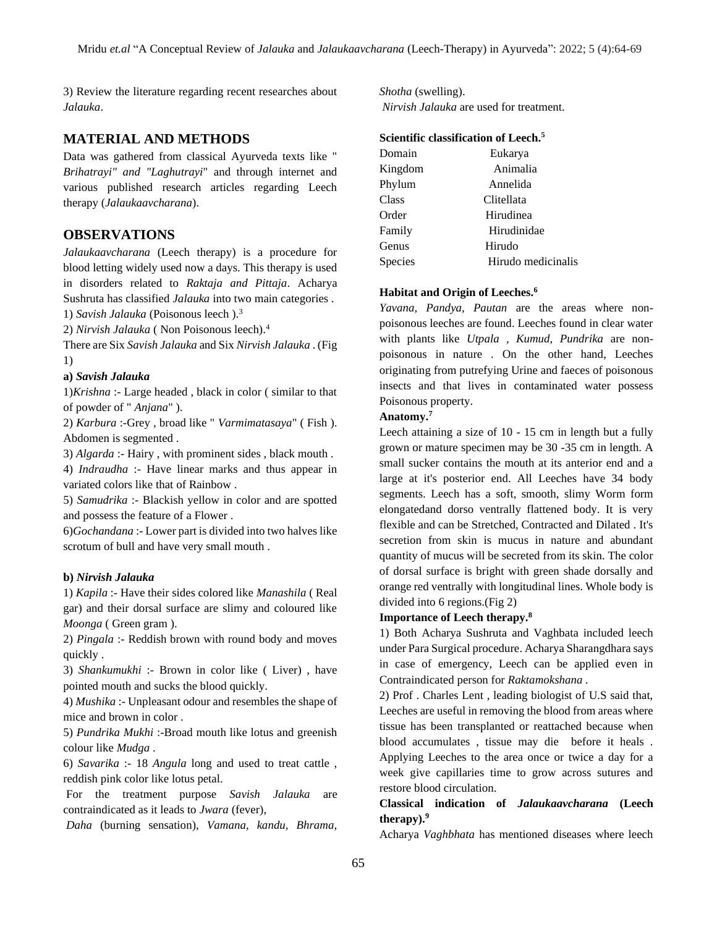3) Review the literature regarding recent researches about *Jalauka*.

#### **MATERIAL AND METHODS**

Data was gathered from classical Ayurveda texts like " *Brihatrayi" and "Laghutrayi*" and through internet and various published research articles regarding Leech therapy (*Jalaukaavcharana*).

## **OBSERVATIONS**

*Jalaukaavcharana* (Leech therapy) is a procedure for blood letting widely used now a days. This therapy is used in disorders related to *Raktaja and Pittaja*. Acharya Sushruta has classified *Jalauka* into two main categories . 1) *Savish Jalauka* (Poisonous leech ).<sup>3</sup>

2) *Nirvish Jalauka* ( Non Poisonous leech).<sup>4</sup>

There are Six *Savish Jalauka* and Six *Nirvish Jalauka* . (Fig 1)

#### **a)** *Savish Jalauka*

1)*Krishna* :- Large headed , black in color ( similar to that of powder of " *Anjana*" ).

2) *Karbura* :-Grey , broad like " *Varmimatasaya*" ( Fish ). Abdomen is segmented .

3) *Algarda* :- Hairy , with prominent sides , black mouth .

4) *Indraudha* :- Have linear marks and thus appear in variated colors like that of Rainbow .

5) *Samudrika* :- Blackish yellow in color and are spotted and possess the feature of a Flower .

6)*Gochandana* :- Lower part is divided into two halves like scrotum of bull and have very small mouth .

#### **b)** *Nirvish Jalauka*

1) *Kapila* :- Have their sides colored like *Manashila* ( Real gar) and their dorsal surface are slimy and coloured like *Moonga* ( Green gram ).

2) *Pingala* :- Reddish brown with round body and moves quickly .

3) *Shankumukhi* :- Brown in color like ( Liver) , have pointed mouth and sucks the blood quickly.

4) *Mushika* :- Unpleasant odour and resembles the shape of mice and brown in color .

5) *Pundrika Mukhi* :-Broad mouth like lotus and greenish colour like *Mudga* .

6) *Savarika* :- 18 *Angula* long and used to treat cattle , reddish pink color like lotus petal.

For the treatment purpose *Savish Jalauka* are contraindicated as it leads to *Jwara* (fever),

*Daha* (burning sensation), *Vamana, kandu, Bhrama,* 

*Shotha* (swelling). *Nirvish Jalauka* are used for treatment.

# **Scientific classification of Leech.<sup>5</sup>**

| Domain  | Eukarya            |
|---------|--------------------|
| Kingdom | Animalia           |
| Phylum  | Annelida           |
| Class   | Clitellata         |
| Order   | Hirudinea          |
| Family  | Hirudinidae        |
| Genus   | Hirudo             |
| Species | Hirudo medicinalis |

#### **Habitat and Origin of Leeches.<sup>6</sup>**

*Yavana, Pandya, Pautan* are the areas where nonpoisonous leeches are found. Leeches found in clear water with plants like *Utpala , Kumud, Pundrika* are nonpoisonous in nature . On the other hand, Leeches originating from putrefying Urine and faeces of poisonous insects and that lives in contaminated water possess Poisonous property.

#### **Anatomy.<sup>7</sup>**

Leech attaining a size of 10 - 15 cm in length but a fully grown or mature specimen may be 30 -35 cm in length. A small sucker contains the mouth at its anterior end and a large at it's posterior end. All Leeches have 34 body segments. Leech has a soft, smooth, slimy Worm form elongatedand dorso ventrally flattened body. It is very flexible and can be Stretched, Contracted and Dilated . It's secretion from skin is mucus in nature and abundant quantity of mucus will be secreted from its skin. The color of dorsal surface is bright with green shade dorsally and orange red ventrally with longitudinal lines. Whole body is divided into 6 regions.(Fig 2)

#### **Importance of Leech therapy.<sup>8</sup>**

1) Both Acharya Sushruta and Vaghbata included leech under Para Surgical procedure. Acharya Sharangdhara says in case of emergency, Leech can be applied even in Contraindicated person for *Raktamokshana .*

2) Prof . Charles Lent , leading biologist of U.S said that, Leeches are useful in removing the blood from areas where tissue has been transplanted or reattached because when blood accumulates , tissue may die before it heals . Applying Leeches to the area once or twice a day for a week give capillaries time to grow across sutures and restore blood circulation.

# **Classical indication of** *Jalaukaavcharana* **(Leech therapy).<sup>9</sup>**

Acharya *Vaghbhata* has mentioned diseases where leech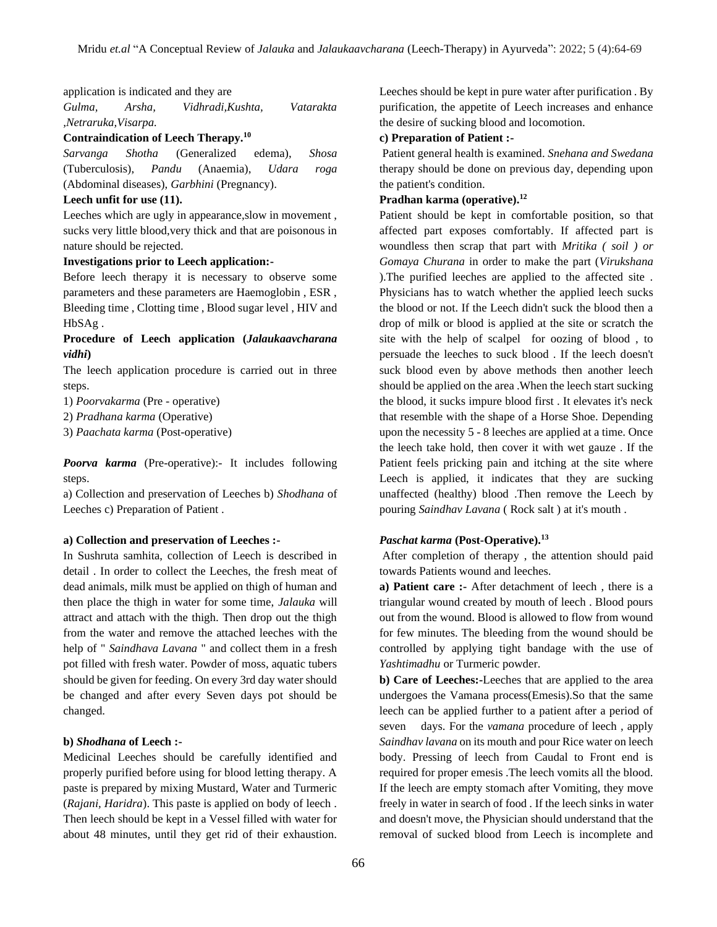application is indicated and they are

*Gulma, Arsha, Vidhradi,Kushta, Vatarakta ,Netraruka,Visarpa.*

#### **Contraindication of Leech Therapy.<sup>10</sup>**

*Sarvanga Shotha* (Generalized edema), *Shosa* (Tuberculosis), *Pandu* (Anaemia), *Udara roga* (Abdominal diseases), *Garbhini* (Pregnancy).

#### **Leech unfit for use (11).**

Leeches which are ugly in appearance, slow in movement, sucks very little blood,very thick and that are poisonous in nature should be rejected.

#### **Investigations prior to Leech application:-**

Before leech therapy it is necessary to observe some parameters and these parameters are Haemoglobin , ESR , Bleeding time , Clotting time , Blood sugar level , HIV and HbSAg .

### **Procedure of Leech application (***Jalaukaavcharana vidhi***)**

The leech application procedure is carried out in three steps.

1) *Poorvakarma* (Pre - operative)

2) *Pradhana karma* (Operative)

3) *Paachata karma* (Post-operative)

*Poorva karma* (Pre-operative):- It includes following steps.

a) Collection and preservation of Leeches b) *Shodhana* of Leeches c) Preparation of Patient .

#### **a) Collection and preservation of Leeches :-**

In Sushruta samhita, collection of Leech is described in detail . In order to collect the Leeches, the fresh meat of dead animals, milk must be applied on thigh of human and then place the thigh in water for some time, *Jalauka* will attract and attach with the thigh. Then drop out the thigh from the water and remove the attached leeches with the help of " *Saindhava Lavana* " and collect them in a fresh pot filled with fresh water. Powder of moss, aquatic tubers should be given for feeding. On every 3rd day water should be changed and after every Seven days pot should be changed.

#### **b)** *Shodhana* **of Leech :-**

Medicinal Leeches should be carefully identified and properly purified before using for blood letting therapy. A paste is prepared by mixing Mustard, Water and Turmeric (*Rajani, Haridra*). This paste is applied on body of leech . Then leech should be kept in a Vessel filled with water for about 48 minutes, until they get rid of their exhaustion.

Leeches should be kept in pure water after purification . By purification, the appetite of Leech increases and enhance the desire of sucking blood and locomotion.

#### **c) Preparation of Patient :-**

Patient general health is examined. *Snehana and Swedana* therapy should be done on previous day, depending upon the patient's condition.

## **Pradhan karma (operative).<sup>12</sup>**

Patient should be kept in comfortable position, so that affected part exposes comfortably. If affected part is woundless then scrap that part with *Mritika ( soil ) or Gomaya Churana* in order to make the part (*Virukshana* ).The purified leeches are applied to the affected site . Physicians has to watch whether the applied leech sucks the blood or not. If the Leech didn't suck the blood then a drop of milk or blood is applied at the site or scratch the site with the help of scalpel for oozing of blood , to persuade the leeches to suck blood . If the leech doesn't suck blood even by above methods then another leech should be applied on the area .When the leech start sucking the blood, it sucks impure blood first . It elevates it's neck that resemble with the shape of a Horse Shoe. Depending upon the necessity 5 - 8 leeches are applied at a time. Once the leech take hold, then cover it with wet gauze . If the Patient feels pricking pain and itching at the site where Leech is applied, it indicates that they are sucking unaffected (healthy) blood .Then remove the Leech by pouring *Saindhav Lavana* ( Rock salt ) at it's mouth .

### *Paschat karma* **(Post-Operative).<sup>13</sup>**

After completion of therapy , the attention should paid towards Patients wound and leeches.

**a) Patient care :-** After detachment of leech , there is a triangular wound created by mouth of leech . Blood pours out from the wound. Blood is allowed to flow from wound for few minutes. The bleeding from the wound should be controlled by applying tight bandage with the use of *Yashtimadhu* or Turmeric powder.

**b) Care of Leeches:-**Leeches that are applied to the area undergoes the Vamana process(Emesis).So that the same leech can be applied further to a patient after a period of seven days. For the *vamana* procedure of leech , apply *Saindhav lavana* on its mouth and pour Rice water on leech body. Pressing of leech from Caudal to Front end is required for proper emesis .The leech vomits all the blood. If the leech are empty stomach after Vomiting, they move freely in water in search of food . If the leech sinks in water and doesn't move, the Physician should understand that the removal of sucked blood from Leech is incomplete and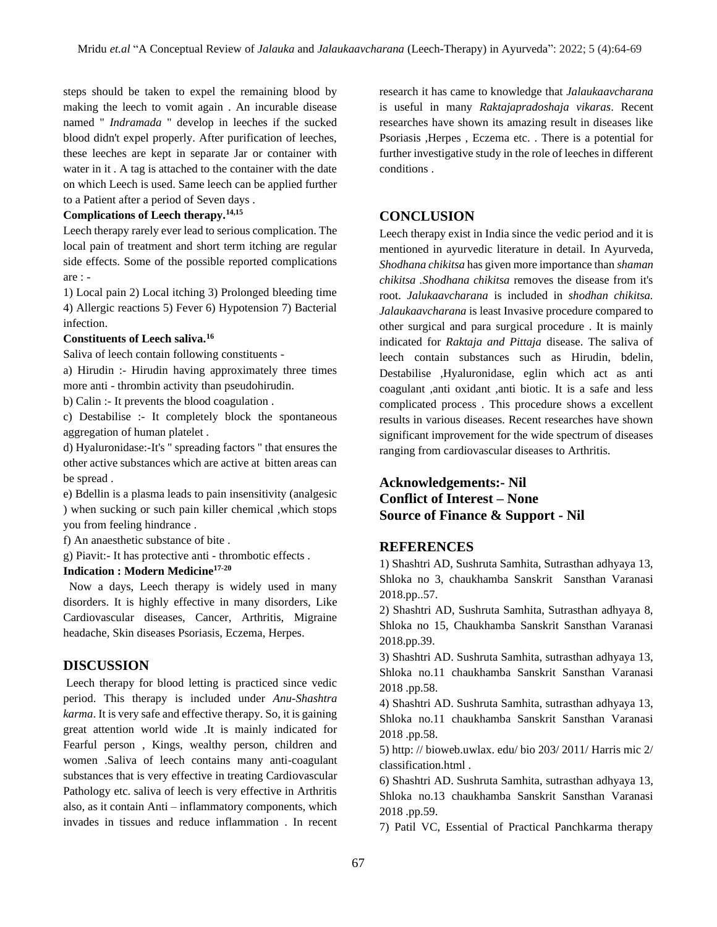steps should be taken to expel the remaining blood by making the leech to vomit again . An incurable disease named " *Indramada* " develop in leeches if the sucked blood didn't expel properly. After purification of leeches, these leeches are kept in separate Jar or container with water in it . A tag is attached to the container with the date on which Leech is used. Same leech can be applied further to a Patient after a period of Seven days .

## **Complications of Leech therapy.14,15**

Leech therapy rarely ever lead to serious complication. The local pain of treatment and short term itching are regular side effects. Some of the possible reported complications are : -

1) Local pain 2) Local itching 3) Prolonged bleeding time 4) Allergic reactions 5) Fever 6) Hypotension 7) Bacterial infection.

#### **Constituents of Leech saliva.<sup>16</sup>**

Saliva of leech contain following constituents -

a) Hirudin :- Hirudin having approximately three times more anti - thrombin activity than pseudohirudin.

b) Calin :- It prevents the blood coagulation .

c) Destabilise :- It completely block the spontaneous aggregation of human platelet .

d) Hyaluronidase:-It's " spreading factors " that ensures the other active substances which are active at bitten areas can be spread .

e) Bdellin is a plasma leads to pain insensitivity (analgesic ) when sucking or such pain killer chemical ,which stops you from feeling hindrance .

f) An anaesthetic substance of bite .

g) Piavit:- It has protective anti - thrombotic effects .

# **Indication : Modern Medicine17-20**

 Now a days, Leech therapy is widely used in many disorders. It is highly effective in many disorders, Like Cardiovascular diseases, Cancer, Arthritis, Migraine headache, Skin diseases Psoriasis, Eczema, Herpes.

## **DISCUSSION**

Leech therapy for blood letting is practiced since vedic period. This therapy is included under *Anu-Shashtra karma*. It is very safe and effective therapy. So, it is gaining great attention world wide .It is mainly indicated for Fearful person , Kings, wealthy person, children and women .Saliva of leech contains many anti-coagulant substances that is very effective in treating Cardiovascular Pathology etc. saliva of leech is very effective in Arthritis also, as it contain Anti – inflammatory components, which invades in tissues and reduce inflammation . In recent research it has came to knowledge that *Jalaukaavcharana*  is useful in many *Raktajapradoshaja vikaras*. Recent researches have shown its amazing result in diseases like Psoriasis ,Herpes , Eczema etc. . There is a potential for further investigative study in the role of leeches in different conditions .

# **CONCLUSION**

Leech therapy exist in India since the vedic period and it is mentioned in ayurvedic literature in detail. In Ayurveda, *Shodhana chikitsa* has given more importance than *shaman chikitsa .Shodhana chikitsa* removes the disease from it's root. *Jalukaavcharana* is included in *shodhan chikitsa. Jalaukaavcharana* is least Invasive procedure compared to other surgical and para surgical procedure . It is mainly indicated for *Raktaja and Pittaja* disease. The saliva of leech contain substances such as Hirudin, bdelin, Destabilise ,Hyaluronidase, eglin which act as anti coagulant ,anti oxidant ,anti biotic. It is a safe and less complicated process . This procedure shows a excellent results in various diseases. Recent researches have shown significant improvement for the wide spectrum of diseases ranging from cardiovascular diseases to Arthritis.

# **Acknowledgements:- Nil Conflict of Interest – None Source of Finance & Support - Nil**

# **REFERENCES**

1) Shashtri AD, Sushruta Samhita, Sutrasthan adhyaya 13, Shloka no 3, chaukhamba Sanskrit Sansthan Varanasi 2018.pp..57.

2) Shashtri AD, Sushruta Samhita, Sutrasthan adhyaya 8, Shloka no 15, Chaukhamba Sanskrit Sansthan Varanasi 2018.pp.39.

3) Shashtri AD. Sushruta Samhita, sutrasthan adhyaya 13, Shloka no.11 chaukhamba Sanskrit Sansthan Varanasi 2018 .pp.58.

4) Shashtri AD. Sushruta Samhita, sutrasthan adhyaya 13, Shloka no.11 chaukhamba Sanskrit Sansthan Varanasi 2018 .pp.58.

5) http: // bioweb.uwlax. edu/ bio 203/ 2011/ Harris mic 2/ classification.html .

6) Shashtri AD. Sushruta Samhita, sutrasthan adhyaya 13, Shloka no.13 chaukhamba Sanskrit Sansthan Varanasi 2018 .pp.59.

7) Patil VC, Essential of Practical Panchkarma therapy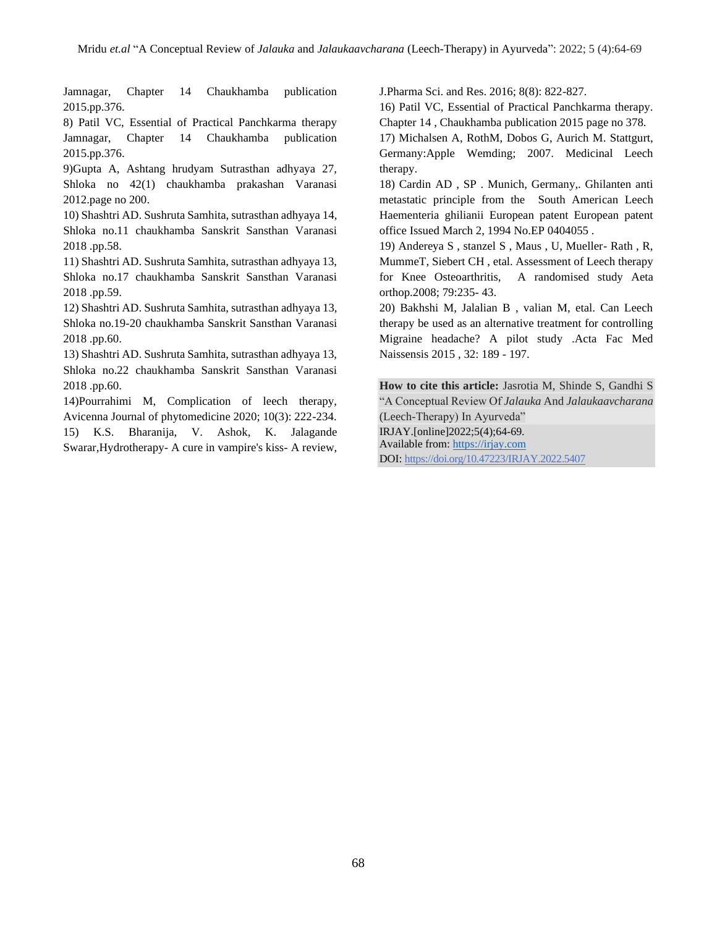Jamnagar, Chapter 14 Chaukhamba publication 2015.pp.376.

8) Patil VC, Essential of Practical Panchkarma therapy Jamnagar, Chapter 14 Chaukhamba publication 2015.pp.376.

9)Gupta A, Ashtang hrudyam Sutrasthan adhyaya 27, Shloka no 42(1) chaukhamba prakashan Varanasi 2012.page no 200.

10) Shashtri AD. Sushruta Samhita, sutrasthan adhyaya 14, Shloka no.11 chaukhamba Sanskrit Sansthan Varanasi 2018 .pp.58.

11) Shashtri AD. Sushruta Samhita, sutrasthan adhyaya 13, Shloka no.17 chaukhamba Sanskrit Sansthan Varanasi 2018 .pp.59.

12) Shashtri AD. Sushruta Samhita, sutrasthan adhyaya 13, Shloka no.19-20 chaukhamba Sanskrit Sansthan Varanasi 2018 .pp.60.

13) Shashtri AD. Sushruta Samhita, sutrasthan adhyaya 13, Shloka no.22 chaukhamba Sanskrit Sansthan Varanasi 2018 .pp.60.

14)Pourrahimi M, Complication of leech therapy, Avicenna Journal of phytomedicine 2020; 10(3): 222-234. 15) K.S. Bharanija, V. Ashok, K. Jalagande Swarar,Hydrotherapy- A cure in vampire's kiss- A review, J.Pharma Sci. and Res. 2016; 8(8): 822-827.

16) Patil VC, Essential of Practical Panchkarma therapy. Chapter 14 , Chaukhamba publication 2015 page no 378.

17) Michalsen A, RothM, Dobos G, Aurich M. Stattgurt, Germany:Apple Wemding; 2007. Medicinal Leech therapy.

18) Cardin AD , SP . Munich, Germany,. Ghilanten anti metastatic principle from the South American Leech Haementeria ghilianii European patent European patent office Issued March 2, 1994 No.EP 0404055 .

19) Andereya S , stanzel S , Maus , U, Mueller- Rath , R, MummeT, Siebert CH , etal. Assessment of Leech therapy for Knee Osteoarthritis, A randomised study Aeta orthop.2008; 79:235- 43.

20) Bakhshi M, Jalalian B , valian M, etal. Can Leech therapy be used as an alternative treatment for controlling Migraine headache? A pilot study .Acta Fac Med Naissensis 2015 , 32: 189 - 197.

**How to cite this article:** Jasrotia M, Shinde S, Gandhi S "A Conceptual Review Of *Jalauka* And *Jalaukaavcharana*  (Leech-Therapy) In Ayurveda" IRJAY.[online]2022;5(4);64-69. Available from: [https://irjay.com](https://irjay.com/) DOI: https://doi.org/10.47223/IRJAY.2022.5407